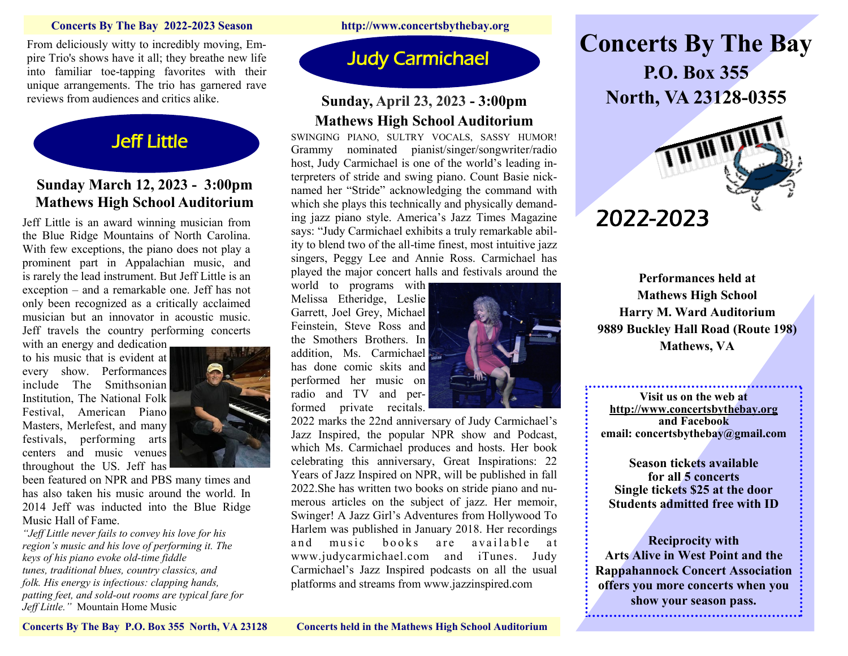#### **Concerts By The Bay 2022-2023 Season http://www.concertsbythebay.org**

From deliciously witty to incredibly moving, Empire Trio's shows have it all; they breathe new life into familiar toe-tapping favorites with their unique arrangements. The trio has garnered rave reviews from audiences and critics alike.



# **Sunday March 12, 2023 - 3:00pm Mathews High School Auditorium**

Jeff Little is an award winning musician from the Blue Ridge Mountains of North Carolina. With few exceptions, the piano does not play a prominent part in Appalachian music, and is rarely the lead instrument. But Jeff Little is an exception – and a remarkable one. Jeff has not only been recognized as a critically acclaimed musician but an innovator in acoustic music. Jeff travels the country performing concerts

with an energy and dedication to his music that is evident at every show. Performances include The Smithsonian Institution, The National Folk Festival, American Piano Masters, Merlefest, and many festivals, performing arts centers and music venues throughout the US. Jeff has



been featured on NPR and PBS many times and has also taken his music around the world. In 2014 Jeff was inducted into the Blue Ridge Music Hall of Fame.

*"Jeff Little never fails to convey his love for his region's music and his love of performing it. The keys of his piano evoke old-time fiddle tunes, traditional blues, country classics, and folk. His energy is infectious: clapping hands, patting feet, and sold-out rooms are typical fare for Jeff Little."* Mountain Home Music

Judy Carmichael

# **Sunday, April 23, 2023 - 3:00pm Mathews High School Auditorium**

SWINGING PIANO, SULTRY VOCALS, SASSY HUMOR! Grammy nominated pianist/singer/songwriter/radio host, Judy Carmichael is one of the world's leading interpreters of stride and swing piano. Count Basie nicknamed her "Stride" acknowledging the command with which she plays this technically and physically demanding jazz piano style. America's Jazz Times Magazine says: "Judy Carmichael exhibits a truly remarkable ability to blend two of the all-time finest, most intuitive jazz singers, Peggy Lee and Annie Ross. Carmichael has played the major concert halls and festivals around the

world to programs with Melissa Etheridge, Leslie Garrett, Joel Grey, Michael Feinstein, Steve Ross and the Smothers Brothers. In addition, Ms. Carmichael has done comic skits and performed her music on radio and TV and performed private recitals.



2022 marks the 22nd anniversary of Judy Carmichael's Jazz Inspired, the popular NPR show and Podcast, which Ms. Carmichael produces and hosts. Her book celebrating this anniversary, Great Inspirations: 22 Years of Jazz Inspired on NPR, will be published in fall 2022.She has written two books on stride piano and numerous articles on the subject of jazz. Her memoir, Swinger! A Jazz Girl's Adventures from Hollywood To Harlem was published in January 2018. Her recordings and music books are available at www.judycarmichael.com and iTunes. Judy Carmichael's Jazz Inspired podcasts on all the usual platforms and streams from www.jazzinspired.com

**Concerts By The Bay P.O. Box 355 North, VA 23128-0355**



**Performances held at Mathews High School Harry M. Ward Auditorium 9889 Buckley Hall Road (Route 198) Mathews, VA**

**Visit us on the web at <http://www.concertsbythebay.org> and Facebook email: concertsbythebay@gmail.com**

**Season tickets available for all 5 concerts Single tickets \$25 at the door Students admitted free with ID**

**Reciprocity with Arts Alive in West Point and the Rappahannock Concert Association offers you more concerts when you show your season pass.**